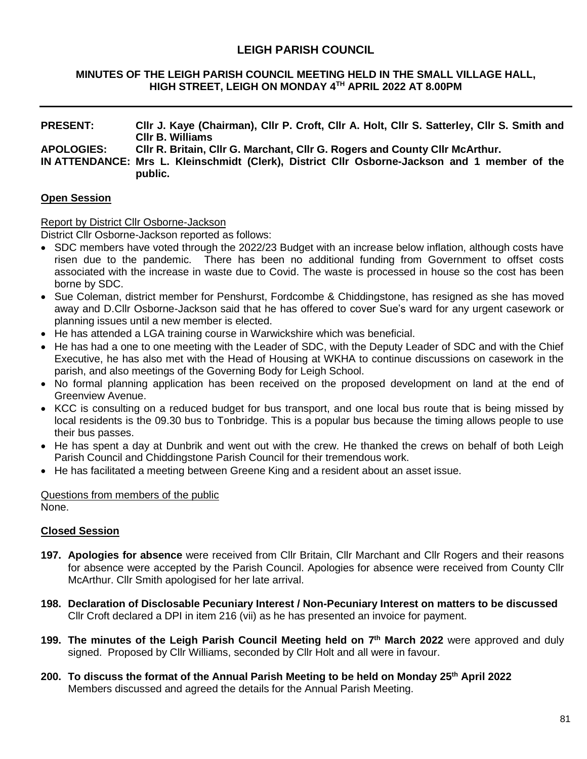# **LEIGH PARISH COUNCIL**

#### **MINUTES OF THE LEIGH PARISH COUNCIL MEETING HELD IN THE SMALL VILLAGE HALL, HIGH STREET, LEIGH ON MONDAY 4 TH APRIL 2022 AT 8.00PM**

## **PRESENT: Cllr J. Kaye (Chairman), Cllr P. Croft, Cllr A. Holt, Cllr S. Satterley, Cllr S. Smith and Cllr B. Williams APOLOGIES: Cllr R. Britain, Cllr G. Marchant, Cllr G. Rogers and County Cllr McArthur. IN ATTENDANCE: Mrs L. Kleinschmidt (Clerk), District Cllr Osborne-Jackson and 1 member of the public.**

#### **Open Session**

#### Report by District Cllr Osborne-Jackson

District Cllr Osborne-Jackson reported as follows:

- SDC members have voted through the 2022/23 Budget with an increase below inflation, although costs have risen due to the pandemic. There has been no additional funding from Government to offset costs associated with the increase in waste due to Covid. The waste is processed in house so the cost has been borne by SDC.
- Sue Coleman, district member for Penshurst, Fordcombe & Chiddingstone, has resigned as she has moved away and D.Cllr Osborne-Jackson said that he has offered to cover Sue's ward for any urgent casework or planning issues until a new member is elected.
- He has attended a LGA training course in Warwickshire which was beneficial.
- He has had a one to one meeting with the Leader of SDC, with the Deputy Leader of SDC and with the Chief Executive, he has also met with the Head of Housing at WKHA to continue discussions on casework in the parish, and also meetings of the Governing Body for Leigh School.
- No formal planning application has been received on the proposed development on land at the end of Greenview Avenue.
- KCC is consulting on a reduced budget for bus transport, and one local bus route that is being missed by local residents is the 09.30 bus to Tonbridge. This is a popular bus because the timing allows people to use their bus passes.
- He has spent a day at Dunbrik and went out with the crew. He thanked the crews on behalf of both Leigh Parish Council and Chiddingstone Parish Council for their tremendous work.
- He has facilitated a meeting between Greene King and a resident about an asset issue.

Questions from members of the public None.

#### **Closed Session**

- **197. Apologies for absence** were received from Cllr Britain, Cllr Marchant and Cllr Rogers and their reasons for absence were accepted by the Parish Council. Apologies for absence were received from County Cllr McArthur. Cllr Smith apologised for her late arrival.
- **198. Declaration of Disclosable Pecuniary Interest / Non-Pecuniary Interest on matters to be discussed** Cllr Croft declared a DPI in item 216 (vii) as he has presented an invoice for payment.
- **199. The minutes of the Leigh Parish Council Meeting held on 7 th March 2022** were approved and duly signed. Proposed by Cllr Williams, seconded by Cllr Holt and all were in favour.
- **200. To discuss the format of the Annual Parish Meeting to be held on Monday 25th April 2022** Members discussed and agreed the details for the Annual Parish Meeting.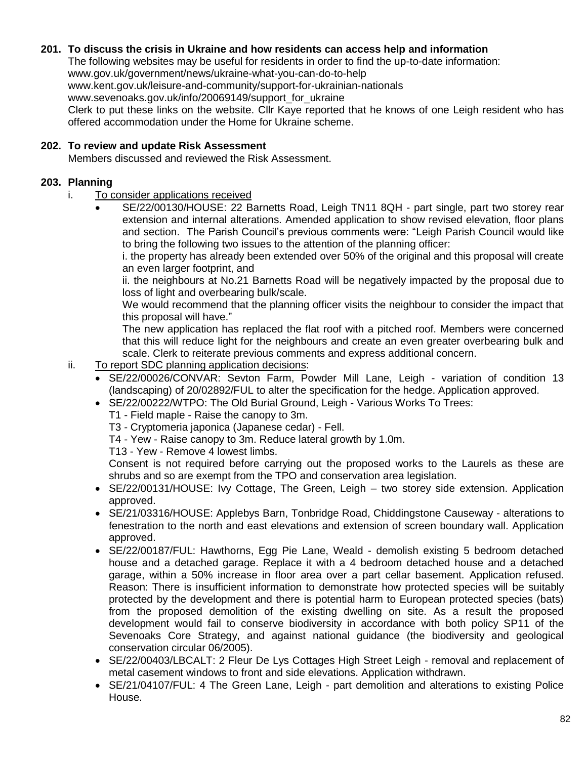## **201. To discuss the crisis in Ukraine and how residents can access help and information**

The following websites may be useful for residents in order to find the up-to-date information: www.gov.uk/government/news/ukraine-what-you-can-do-to-help www.kent.gov.uk/leisure-and-community/support-for-ukrainian-nationals www.sevenoaks.gov.uk/info/20069149/support for ukraine

Clerk to put these links on the website. Cllr Kaye reported that he knows of one Leigh resident who has offered accommodation under the Home for Ukraine scheme.

## **202. To review and update Risk Assessment**

Members discussed and reviewed the Risk Assessment.

## **203. Planning**

- i. To consider applications received
	- SE/22/00130/HOUSE: 22 Barnetts Road, Leigh TN11 8QH part single, part two storey rear extension and internal alterations. Amended application to show revised elevation, floor plans and section. The Parish Council's previous comments were: "Leigh Parish Council would like to bring the following two issues to the attention of the planning officer:

i. the property has already been extended over 50% of the original and this proposal will create an even larger footprint, and

ii. the neighbours at No.21 Barnetts Road will be negatively impacted by the proposal due to loss of light and overbearing bulk/scale.

We would recommend that the planning officer visits the neighbour to consider the impact that this proposal will have."

The new application has replaced the flat roof with a pitched roof. Members were concerned that this will reduce light for the neighbours and create an even greater overbearing bulk and scale. Clerk to reiterate previous comments and express additional concern.

- ii. To report SDC planning application decisions:
	- SE/22/00026/CONVAR: Sevton Farm, Powder Mill Lane, Leigh variation of condition 13 (landscaping) of 20/02892/FUL to alter the specification for the hedge. Application approved.
	- SE/22/00222/WTPO: The Old Burial Ground, Leigh Various Works To Trees:
		- T1 Field maple Raise the canopy to 3m.
		- T3 Cryptomeria japonica (Japanese cedar) Fell.
		- T4 Yew Raise canopy to 3m. Reduce lateral growth by 1.0m.
		- T13 Yew Remove 4 lowest limbs.

Consent is not required before carrying out the proposed works to the Laurels as these are shrubs and so are exempt from the TPO and conservation area legislation.

- SE/22/00131/HOUSE: Ivy Cottage, The Green, Leigh two storey side extension. Application approved.
- SE/21/03316/HOUSE: Applebys Barn, Tonbridge Road, Chiddingstone Causeway alterations to fenestration to the north and east elevations and extension of screen boundary wall. Application approved.
- SE/22/00187/FUL: Hawthorns, Egg Pie Lane, Weald demolish existing 5 bedroom detached house and a detached garage. Replace it with a 4 bedroom detached house and a detached garage, within a 50% increase in floor area over a part cellar basement. Application refused. Reason: There is insufficient information to demonstrate how protected species will be suitably protected by the development and there is potential harm to European protected species (bats) from the proposed demolition of the existing dwelling on site. As a result the proposed development would fail to conserve biodiversity in accordance with both policy SP11 of the Sevenoaks Core Strategy, and against national guidance (the biodiversity and geological conservation circular 06/2005).
- SE/22/00403/LBCALT: 2 Fleur De Lys Cottages High Street Leigh removal and replacement of metal casement windows to front and side elevations. Application withdrawn.
- SE/21/04107/FUL: 4 The Green Lane, Leigh part demolition and alterations to existing Police House.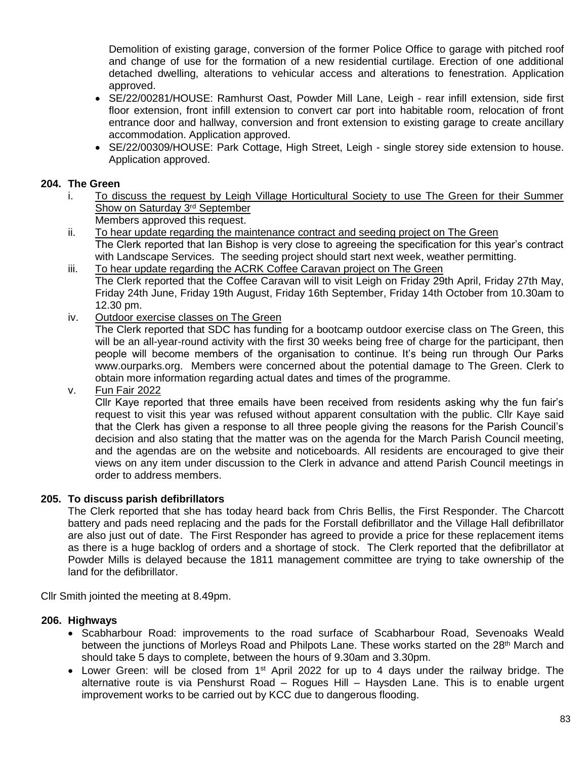Demolition of existing garage, conversion of the former Police Office to garage with pitched roof and change of use for the formation of a new residential curtilage. Erection of one additional detached dwelling, alterations to vehicular access and alterations to fenestration. Application approved.

- SE/22/00281/HOUSE: Ramhurst Oast, Powder Mill Lane, Leigh rear infill extension, side first floor extension, front infill extension to convert car port into habitable room, relocation of front entrance door and hallway, conversion and front extension to existing garage to create ancillary accommodation. Application approved.
- SE/22/00309/HOUSE: Park Cottage, High Street, Leigh single storey side extension to house. Application approved.

#### **204. The Green**

i. To discuss the request by Leigh Village Horticultural Society to use The Green for their Summer Show on Saturday 3<sup>rd</sup> September

Members approved this request.

- ii. To hear update regarding the maintenance contract and seeding project on The Green The Clerk reported that Ian Bishop is very close to agreeing the specification for this year's contract with Landscape Services. The seeding project should start next week, weather permitting.
- iii. To hear update regarding the ACRK Coffee Caravan project on The Green The Clerk reported that the Coffee Caravan will to visit Leigh on Friday 29th April, Friday 27th May, Friday 24th June, Friday 19th August, Friday 16th September, Friday 14th October from 10.30am to 12.30 pm.
- iv. Outdoor exercise classes on The Green

The Clerk reported that SDC has funding for a bootcamp outdoor exercise class on The Green, this will be an all-year-round activity with the first 30 weeks being free of charge for the participant, then people will become members of the organisation to continue. It's being run through Our Parks www.ourparks.org. Members were concerned about the potential damage to The Green. Clerk to obtain more information regarding actual dates and times of the programme.

v. Fun Fair 2022

Cllr Kaye reported that three emails have been received from residents asking why the fun fair's request to visit this year was refused without apparent consultation with the public. Cllr Kaye said that the Clerk has given a response to all three people giving the reasons for the Parish Council's decision and also stating that the matter was on the agenda for the March Parish Council meeting, and the agendas are on the website and noticeboards. All residents are encouraged to give their views on any item under discussion to the Clerk in advance and attend Parish Council meetings in order to address members.

#### **205. To discuss parish defibrillators**

The Clerk reported that she has today heard back from Chris Bellis, the First Responder. The Charcott battery and pads need replacing and the pads for the Forstall defibrillator and the Village Hall defibrillator are also just out of date. The First Responder has agreed to provide a price for these replacement items as there is a huge backlog of orders and a shortage of stock. The Clerk reported that the defibrillator at Powder Mills is delayed because the 1811 management committee are trying to take ownership of the land for the defibrillator.

Cllr Smith jointed the meeting at 8.49pm.

#### **206. Highways**

- Scabharbour Road: improvements to the road surface of Scabharbour Road, Sevenoaks Weald between the junctions of Morleys Road and Philpots Lane. These works started on the 28<sup>th</sup> March and should take 5 days to complete, between the hours of 9.30am and 3.30pm.
- Lower Green: will be closed from 1<sup>st</sup> April 2022 for up to 4 days under the railway bridge. The alternative route is via Penshurst Road – Rogues Hill – Haysden Lane. This is to enable urgent improvement works to be carried out by KCC due to dangerous flooding.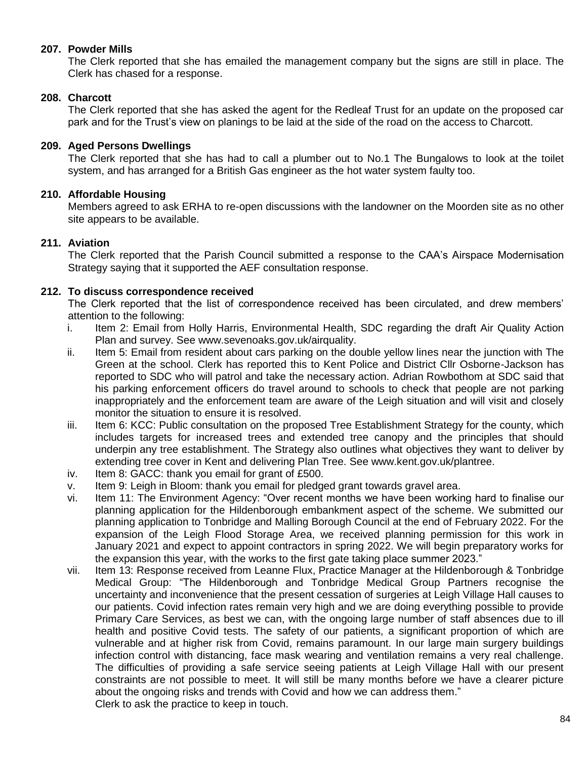#### **207. Powder Mills**

The Clerk reported that she has emailed the management company but the signs are still in place. The Clerk has chased for a response.

#### **208. Charcott**

The Clerk reported that she has asked the agent for the Redleaf Trust for an update on the proposed car park and for the Trust's view on planings to be laid at the side of the road on the access to Charcott.

#### **209. Aged Persons Dwellings**

The Clerk reported that she has had to call a plumber out to No.1 The Bungalows to look at the toilet system, and has arranged for a British Gas engineer as the hot water system faulty too.

### **210. Affordable Housing**

Members agreed to ask ERHA to re-open discussions with the landowner on the Moorden site as no other site appears to be available.

### **211. Aviation**

The Clerk reported that the Parish Council submitted a response to the CAA's Airspace Modernisation Strategy saying that it supported the AEF consultation response.

### **212. To discuss correspondence received**

The Clerk reported that the list of correspondence received has been circulated, and drew members' attention to the following:

- i. Item 2: Email from Holly Harris, Environmental Health, SDC regarding the draft Air Quality Action Plan and survey. See www.sevenoaks.gov.uk/airquality.
- ii. Item 5: Email from resident about cars parking on the double yellow lines near the junction with The Green at the school. Clerk has reported this to Kent Police and District Cllr Osborne-Jackson has reported to SDC who will patrol and take the necessary action. Adrian Rowbothom at SDC said that his parking enforcement officers do travel around to schools to check that people are not parking inappropriately and the enforcement team are aware of the Leigh situation and will visit and closely monitor the situation to ensure it is resolved.
- iii. Item 6: KCC: Public consultation on the proposed Tree Establishment Strategy for the county, which includes targets for increased trees and extended tree canopy and the principles that should underpin any tree establishment. The Strategy also outlines what objectives they want to deliver by extending tree cover in Kent and delivering Plan Tree. See www.kent.gov.uk/plantree.
- iv. Item 8: GACC: thank you email for grant of £500.
- v. Item 9: Leigh in Bloom: thank you email for pledged grant towards gravel area.
- vi. Item 11: The Environment Agency: "Over recent months we have been working hard to finalise our planning application for the Hildenborough embankment aspect of the scheme. We submitted our planning application to Tonbridge and Malling Borough Council at the end of February 2022. For the expansion of the Leigh Flood Storage Area, we received planning permission for this work in January 2021 and expect to appoint contractors in spring 2022. We will begin preparatory works for the expansion this year, with the works to the first gate taking place summer 2023."
- vii. Item 13: Response received from Leanne Flux, Practice Manager at the Hildenborough & Tonbridge Medical Group: "The Hildenborough and Tonbridge Medical Group Partners recognise the uncertainty and inconvenience that the present cessation of surgeries at Leigh Village Hall causes to our patients. Covid infection rates remain very high and we are doing everything possible to provide Primary Care Services, as best we can, with the ongoing large number of staff absences due to ill health and positive Covid tests. The safety of our patients, a significant proportion of which are vulnerable and at higher risk from Covid, remains paramount. In our large main surgery buildings infection control with distancing, face mask wearing and ventilation remains a very real challenge. The difficulties of providing a safe service seeing patients at Leigh Village Hall with our present constraints are not possible to meet. It will still be many months before we have a clearer picture about the ongoing risks and trends with Covid and how we can address them." Clerk to ask the practice to keep in touch.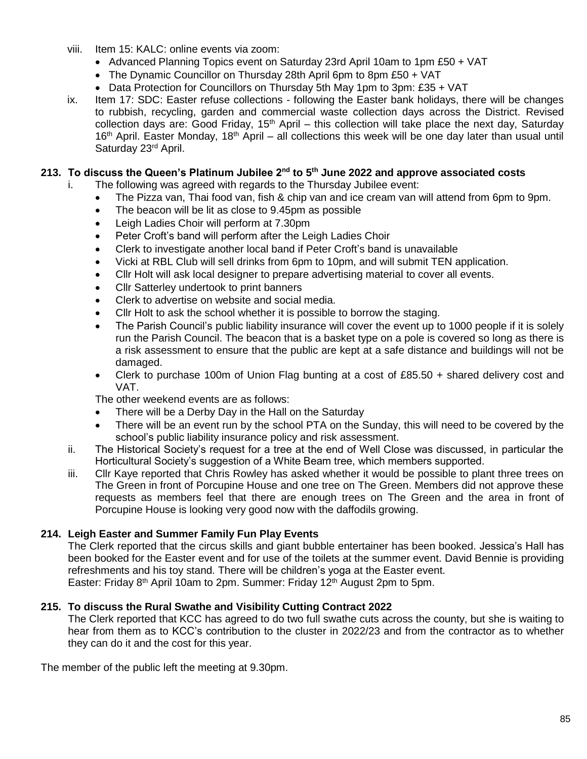- viii. Item 15: KALC: online events via zoom:
	- Advanced Planning Topics event on Saturday 23rd April 10am to 1pm £50 + VAT
	- The Dynamic Councillor on Thursday 28th April 6pm to 8pm £50 + VAT
	- $\bullet$  Data Protection for Councillors on Thursday 5th May 1pm to 3pm: £35 + VAT
- ix. Item 17: SDC: Easter refuse collections following the Easter bank holidays, there will be changes to rubbish, recycling, garden and commercial waste collection days across the District. Revised collection days are: Good Friday,  $15<sup>th</sup>$  April – this collection will take place the next day, Saturday  $16<sup>th</sup>$  April. Easter Monday,  $18<sup>th</sup>$  April – all collections this week will be one day later than usual until Saturday 23<sup>rd</sup> April.

# **213. To discuss the Queen's Platinum Jubilee 2nd to 5th June 2022 and approve associated costs**

- i. The following was agreed with regards to the Thursday Jubilee event:
	- The Pizza van, Thai food van, fish & chip van and ice cream van will attend from 6pm to 9pm.
	- The beacon will be lit as close to 9.45pm as possible
	- Leigh Ladies Choir will perform at 7.30pm
	- Peter Croft's band will perform after the Leigh Ladies Choir
	- Clerk to investigate another local band if Peter Croft's band is unavailable
	- Vicki at RBL Club will sell drinks from 6pm to 10pm, and will submit TEN application.
	- Cllr Holt will ask local designer to prepare advertising material to cover all events.
	- Cllr Satterley undertook to print banners
	- Clerk to advertise on website and social media.
	- Cllr Holt to ask the school whether it is possible to borrow the staging.
	- The Parish Council's public liability insurance will cover the event up to 1000 people if it is solely run the Parish Council. The beacon that is a basket type on a pole is covered so long as there is a risk assessment to ensure that the public are kept at a safe distance and buildings will not be damaged.
	- Clerk to purchase 100m of Union Flag bunting at a cost of £85.50  $+$  shared delivery cost and VAT.

The other weekend events are as follows:

- There will be a Derby Day in the Hall on the Saturday
- There will be an event run by the school PTA on the Sunday, this will need to be covered by the school's public liability insurance policy and risk assessment.
- ii. The Historical Society's request for a tree at the end of Well Close was discussed, in particular the Horticultural Society's suggestion of a White Beam tree, which members supported.
- iii. Cllr Kaye reported that Chris Rowley has asked whether it would be possible to plant three trees on The Green in front of Porcupine House and one tree on The Green. Members did not approve these requests as members feel that there are enough trees on The Green and the area in front of Porcupine House is looking very good now with the daffodils growing.

#### **214. Leigh Easter and Summer Family Fun Play Events**

The Clerk reported that the circus skills and giant bubble entertainer has been booked. Jessica's Hall has been booked for the Easter event and for use of the toilets at the summer event. David Bennie is providing refreshments and his toy stand. There will be children's yoga at the Easter event. Easter: Friday 8<sup>th</sup> April 10am to 2pm. Summer: Friday 12<sup>th</sup> August 2pm to 5pm.

**215. To discuss the Rural Swathe and Visibility Cutting Contract 2022** The Clerk reported that KCC has agreed to do two full swathe cuts across the county, but she is waiting to hear from them as to KCC's contribution to the cluster in 2022/23 and from the contractor as to whether

The member of the public left the meeting at 9.30pm.

they can do it and the cost for this year.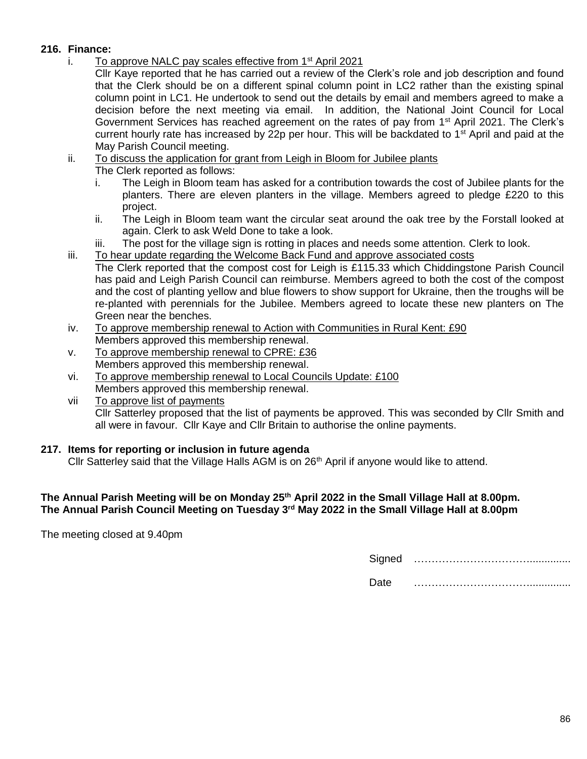## **216. Finance:**

- i. To approve NALC pay scales effective from  $1<sup>st</sup>$  April 2021
	- Cllr Kaye reported that he has carried out a review of the Clerk's role and job description and found that the Clerk should be on a different spinal column point in LC2 rather than the existing spinal column point in LC1. He undertook to send out the details by email and members agreed to make a decision before the next meeting via email. In addition, the National Joint Council for Local Government Services has reached agreement on the rates of pay from 1<sup>st</sup> April 2021. The Clerk's current hourly rate has increased by 22p per hour. This will be backdated to  $1<sup>st</sup>$  April and paid at the May Parish Council meeting.
- ii. To discuss the application for grant from Leigh in Bloom for Jubilee plants
	- The Clerk reported as follows:
	- i. The Leigh in Bloom team has asked for a contribution towards the cost of Jubilee plants for the planters. There are eleven planters in the village. Members agreed to pledge £220 to this project.
	- ii. The Leigh in Bloom team want the circular seat around the oak tree by the Forstall looked at again. Clerk to ask Weld Done to take a look.
	- iii. The post for the village sign is rotting in places and needs some attention. Clerk to look.
- iii. To hear update regarding the Welcome Back Fund and approve associated costs The Clerk reported that the compost cost for Leigh is £115.33 which Chiddingstone Parish Council has paid and Leigh Parish Council can reimburse. Members agreed to both the cost of the compost and the cost of planting yellow and blue flowers to show support for Ukraine, then the troughs will be re-planted with perennials for the Jubilee. Members agreed to locate these new planters on The Green near the benches.
- iv. To approve membership renewal to Action with Communities in Rural Kent: £90 Members approved this membership renewal.
- v. To approve membership renewal to CPRE: £36 Members approved this membership renewal.
- vi. To approve membership renewal to Local Councils Update: £100 Members approved this membership renewal.
- vii To approve list of payments Cllr Satterley proposed that the list of payments be approved. This was seconded by Cllr Smith and all were in favour. Cllr Kaye and Cllr Britain to authorise the online payments.

## **217. Items for reporting or inclusion in future agenda**

Cllr Satterley said that the Village Halls AGM is on  $26<sup>th</sup>$  April if anyone would like to attend.

### **The Annual Parish Meeting will be on Monday 25th April 2022 in the Small Village Hall at 8.00pm. The Annual Parish Council Meeting on Tuesday 3 rd May 2022 in the Small Village Hall at 8.00pm**

The meeting closed at 9.40pm

Signed ………………………………………

Date ……………………………..............